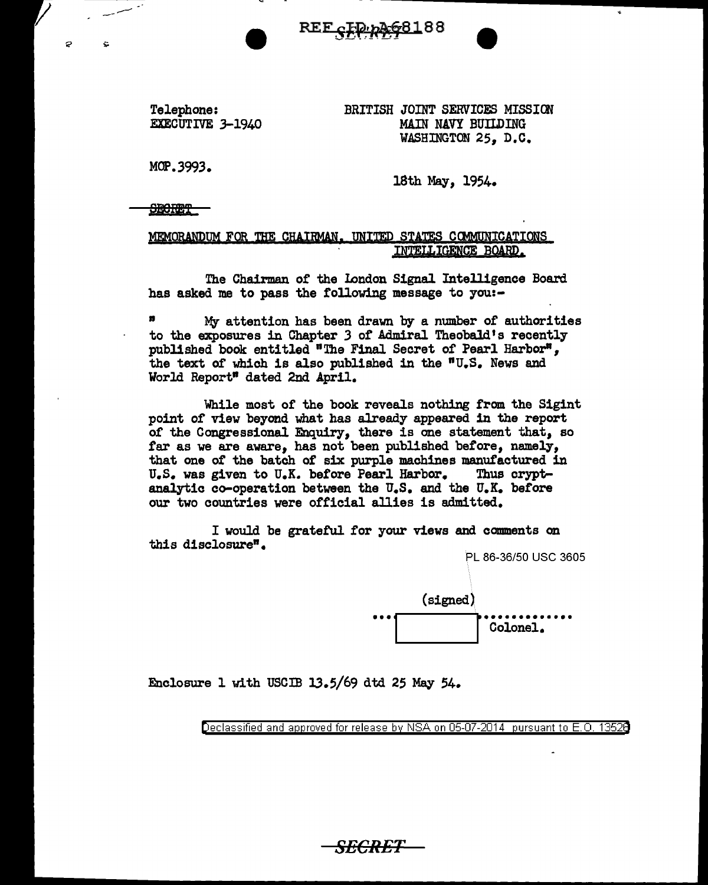<u>REF cID p2681</u>88

Telephone: EXECUTIVE 3-1940 BRITISH JOINT SERVICES MISSION MAIN NAVY BUILDING WASHINGTON 25, D.C.

 $-$ 

MOP.3993.

Ó

18th May, 1954.

**SECRET** 

MEMORANDUM FOR THE CHAIRMAN. UNITED STATES COMMUNICATIONS INTELLIGENCE BOARD.

The Chairman or the Iondon Signal Intelligence Board has asked me to pass the following message to you:-

<sup>n</sup>*M;y* attention has been drawn by a number of authorities to the exposures in Chapter *3* or Admiral Theobald's recently published book entitled "The Final Secret of Pearl Harbor", the text of which is also published in the  $"U.S.$  News and World Report" dated 2nd April.

While most of the book reveals nothing from the Sigint point of view beyond what has already appeared in the report of the Congressional Enquiry, there is one statement that, so far as we are aware, has not been published before, namely, that one of the batch of six purple machines manufactured in U.S. was given to U.K. before Pearl Harbor. Thus crypt-U.S. was given to U.K. before Pearl Harbor. analytic co-operation between the U.S. and the U.K. before our two countries were official allies is admitted.

I would be grateful for your views and comments on this disclosure".



Enclosure l with USCIB 13.5/69 dtd 25 May 54.

Declassified and approved for release by NSA on 05-07-2014 pursuant to E. 0. 1352B

SECRET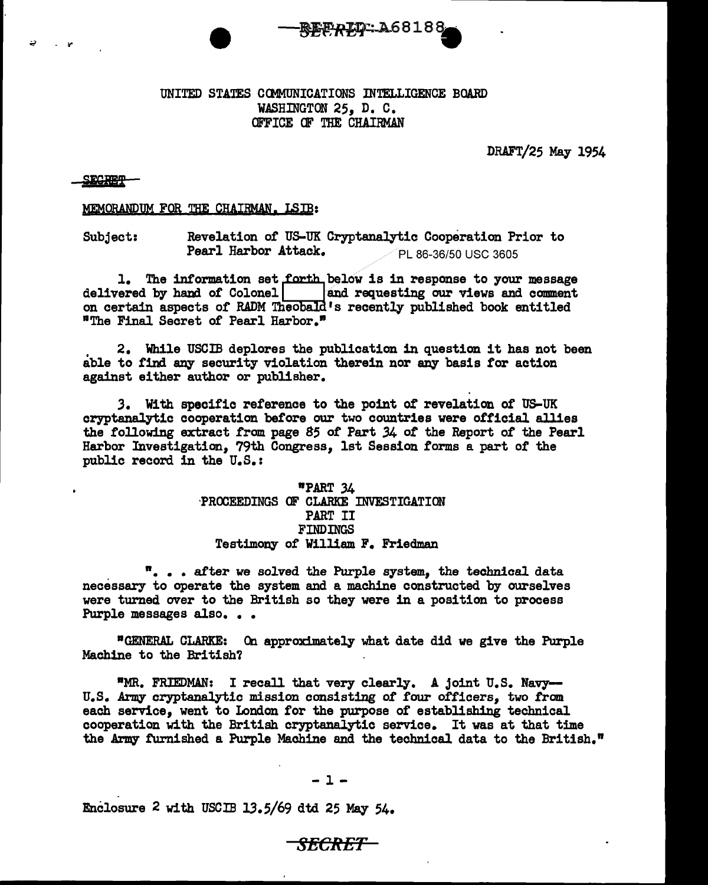## UNITED STATES COMMUNICATIONS INTELLIGENCE BOARD WASHINGTON 25, D. C. OFFICE OF THE CHAIRMAN

**-REEAID: A68188** 

DRAFT/25 May 1954

## SECRET

"" - It'

## MEMORANDUM FQR THE CHAIRMAN. I.SIB:

Subject: Revelation of US-UK Cryptanalytic Cooperation Prior to **Pearl Harbor Attack.**  $\sqrt{P}$  86-36/50 USC 3605

l. The information set QbE~low is in response to your message delivered by hand of Colonel 8.nd requesting our views and comment on certain aspects of RADM Theobald's recently published book entitled •The Final Secret *ot* Pearl Harbor."

. 2. While USCIB deplores the publication in question it has not been able to find any security violation therein nor any basis for action against either author or publisher.

.3. With specific reference to the point of revelation *of* US-UK cryptanalytic cooperation before our two countries were official allies the following extract from page 85 of Part 34 of the Report of the Pearl Harbor Investigation, 79th Congress, 1st Session forms a part of the public record in the U.S.:

> •PART .34 ·PROCEEDINGS OF CLARKE INVESTIGATION PART II FINDINGS Testimony- of William F. Friedman

". . after we solved the Purple system, the technical data necessary to operate the system and a machine constructed by ourselves were turned over to the British so they were in a position to process Purple messages also...

•GENERAL CLARKE: On approximately what date did we give the Purple Machine to the British?

•MR. FRIEDMAN: I recall that very clearly. A joint U.S. Navy-U.S. Army cryptanalytic mission consisting of four officers, two from each service, went to London for the purpose *of* establishing technical cooperation with the British cryptanalytic service. It was at that time the Army furnished a Purple Machine and the technical data to the British."

*SECR-ET* 

Enclosure 2 with USCIB 13.5/69 dtd 25 May 54.